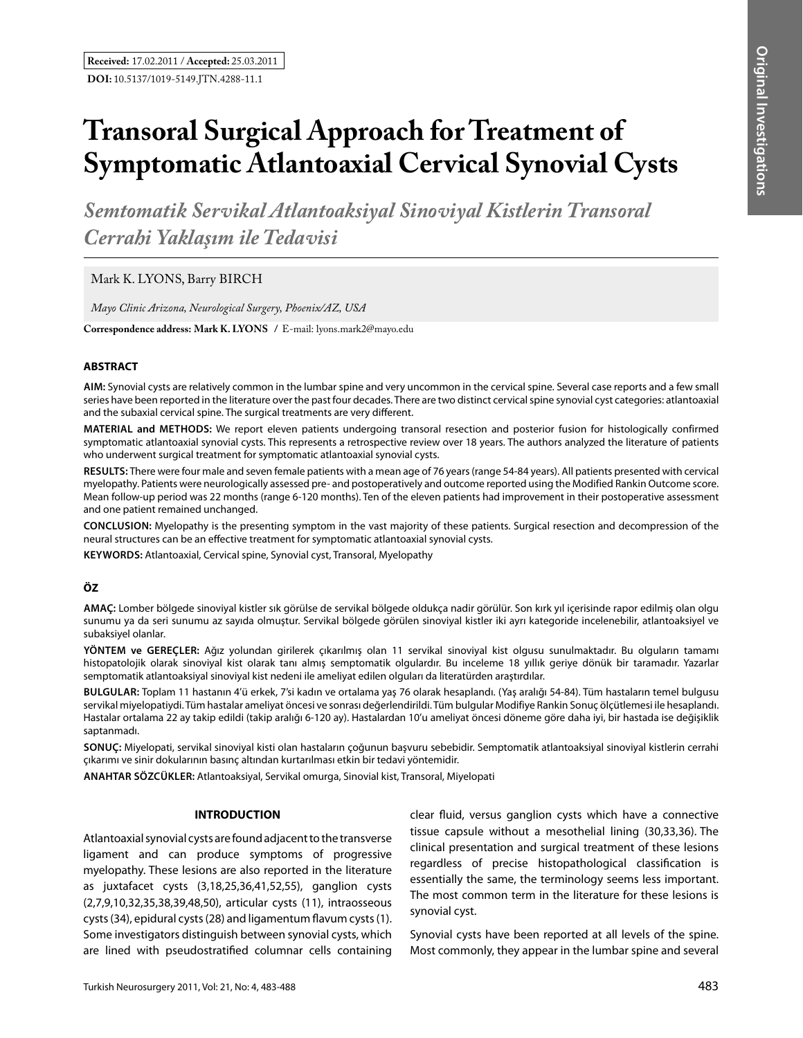# **Transoral Surgical Approach for Treatment of Symptomatic Atlantoaxial Cervical Synovial Cysts**

*Semtomatik Servikal Atlantoaksiyal Sinoviyal Kistlerin Transoral Cerrahi Yaklaşım ile Tedavisi* 

Mark K. LYONS, Barry BIRCH

*Mayo Clinic Arizona, Neurological Surgery, Phoenix/AZ, USA*

**Correspondence address: Mark K. Lyons /** E-mail: lyons.mark2@mayo.edu

### **ABSTRACT**

**AIm:** Synovial cysts are relatively common in the lumbar spine and very uncommon in the cervical spine. Several case reports and a few small series have been reported in the literature over the past four decades. There are two distinct cervical spine synovial cyst categories: atlantoaxial and the subaxial cervical spine. The surgical treatments are very different.

**MaterIal and Methods:** We report eleven patients undergoing transoral resection and posterior fusion for histologically confirmed symptomatic atlantoaxial synovial cysts. This represents a retrospective review over 18 years. The authors analyzed the literature of patients who underwent surgical treatment for symptomatic atlantoaxial synovial cysts.

**Results:** There were four male and seven female patients with a mean age of 76 years (range 54-84 years). All patients presented with cervical myelopathy. Patients were neurologically assessed pre- and postoperatively and outcome reported using the Modified Rankin Outcome score. Mean follow-up period was 22 months (range 6-120 months). Ten of the eleven patients had improvement in their postoperative assessment and one patient remained unchanged.

**ConclusIon:** Myelopathy is the presenting symptom in the vast majority of these patients. Surgical resection and decompression of the neural structures can be an effective treatment for symptomatic atlantoaxial synovial cysts.

**Keywords:** Atlantoaxial, Cervical spine, Synovial cyst, Transoral, Myelopathy

# **ÖZ**

**AMAÇ:** Lomber bölgede sinoviyal kistler sık görülse de servikal bölgede oldukça nadir görülür. Son kırk yıl içerisinde rapor edilmiş olan olgu sunumu ya da seri sunumu az sayıda olmuştur. Servikal bölgede görülen sinoviyal kistler iki ayrı kategoride incelenebilir, atlantoaksiyel ve subaksiyel olanlar.

**YÖNTEM ve GEREÇLER:** Ağız yolundan girilerek çıkarılmış olan 11 servikal sinoviyal kist olgusu sunulmaktadır. Bu olguların tamamı histopatolojik olarak sinoviyal kist olarak tanı almış semptomatik olgulardır. Bu inceleme 18 yıllık geriye dönük bir taramadır. Yazarlar semptomatik atlantoaksiyal sinoviyal kist nedeni ile ameliyat edilen olguları da literatürden araştırdılar.

**BULGULAR:** Toplam 11 hastanın 4'ü erkek, 7'si kadın ve ortalama yaş 76 olarak hesaplandı. (Yaş aralığı 54-84). Tüm hastaların temel bulgusu servikal miyelopatiydi. Tüm hastalar ameliyat öncesi ve sonrası değerlendirildi. Tüm bulgular Modifiye Rankin Sonuç ölçütlemesi ile hesaplandı. Hastalar ortalama 22 ay takip edildi (takip aralığı 6-120 ay). Hastalardan 10'u ameliyat öncesi döneme göre daha iyi, bir hastada ise değişiklik saptanmadı.

**SONUÇ:** Miyelopati, servikal sinoviyal kisti olan hastaların çoğunun başvuru sebebidir. Semptomatik atlantoaksiyal sinoviyal kistlerin cerrahi çıkarımı ve sinir dokularının basınç altından kurtarılması etkin bir tedavi yöntemidir.

**ANAHTAR SÖZCÜKLER:** Atlantoaksiyal, Servikal omurga, Sinovial kist, Transoral, Miyelopati

# **INTRODUCTION**

Atlantoaxial synovial cysts are found adjacent to the transverse ligament and can produce symptoms of progressive myelopathy. These lesions are also reported in the literature as juxtafacet cysts (3,18,25,36,41,52,55), ganglion cysts (2,7,9,10,32,35,38,39,48,50), articular cysts (11), intraosseous cysts (34), epidural cysts (28) and ligamentum flavum cysts (1). Some investigators distinguish between synovial cysts, which are lined with pseudostratified columnar cells containing clear fluid, versus ganglion cysts which have a connective tissue capsule without a mesothelial lining (30,33,36). The clinical presentation and surgical treatment of these lesions regardless of precise histopathological classification is essentially the same, the terminology seems less important. The most common term in the literature for these lesions is synovial cyst.

Synovial cysts have been reported at all levels of the spine. Most commonly, they appear in the lumbar spine and several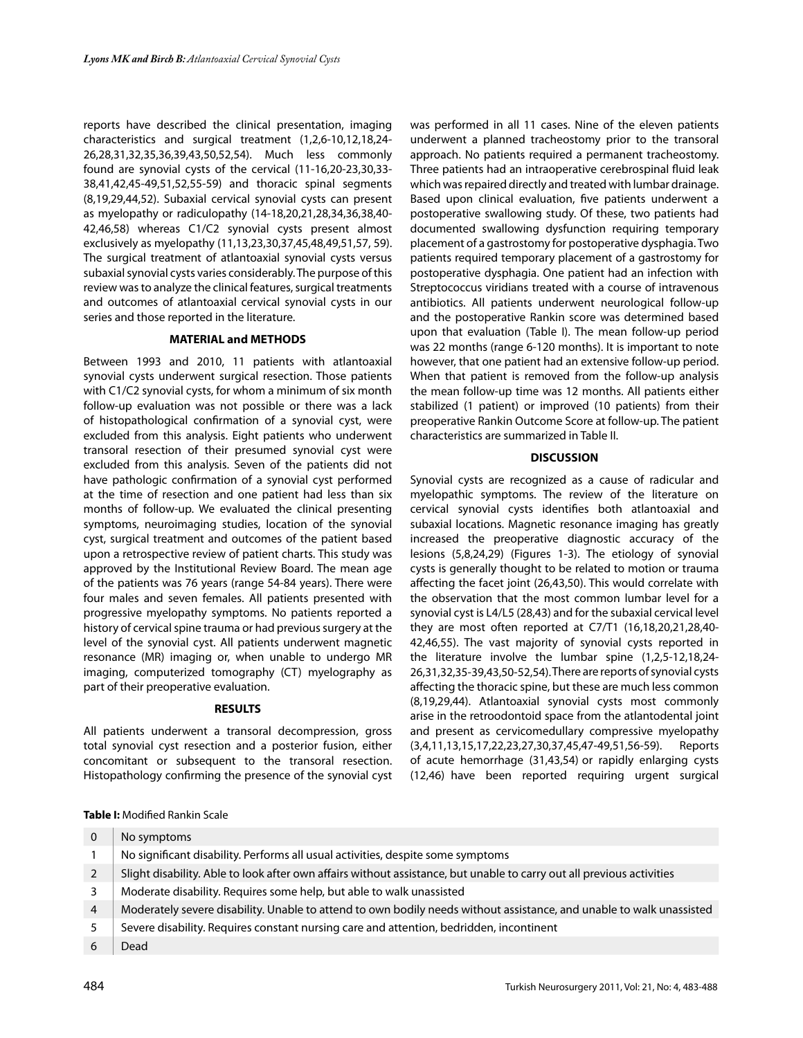reports have described the clinical presentation, imaging characteristics and surgical treatment (1,2,6-10,12,18,24- 26,28,31,32,35,36,39,43,50,52,54). Much less commonly found are synovial cysts of the cervical (11-16,20-23,30,33- 38,41,42,45-49,51,52,55-59) and thoracic spinal segments (8,19,29,44,52). Subaxial cervical synovial cysts can present as myelopathy or radiculopathy (14-18,20,21,28,34,36,38,40- 42,46,58) whereas C1/C2 synovial cysts present almost exclusively as myelopathy (11,13,23,30,37,45,48,49,51,57, 59). The surgical treatment of atlantoaxial synovial cysts versus subaxial synovial cysts varies considerably. The purpose of this review was to analyze the clinical features, surgical treatments and outcomes of atlantoaxial cervical synovial cysts in our series and those reported in the literature.

### **MATERIAL and METHODS**

Between 1993 and 2010, 11 patients with atlantoaxial synovial cysts underwent surgical resection. Those patients with C1/C2 synovial cysts, for whom a minimum of six month follow-up evaluation was not possible or there was a lack of histopathological confirmation of a synovial cyst, were excluded from this analysis. Eight patients who underwent transoral resection of their presumed synovial cyst were excluded from this analysis. Seven of the patients did not have pathologic confirmation of a synovial cyst performed at the time of resection and one patient had less than six months of follow-up. We evaluated the clinical presenting symptoms, neuroimaging studies, location of the synovial cyst, surgical treatment and outcomes of the patient based upon a retrospective review of patient charts. This study was approved by the Institutional Review Board. The mean age of the patients was 76 years (range 54-84 years). There were four males and seven females. All patients presented with progressive myelopathy symptoms. No patients reported a history of cervical spine trauma or had previous surgery at the level of the synovial cyst. All patients underwent magnetic resonance (MR) imaging or, when unable to undergo MR imaging, computerized tomography (CT) myelography as part of their preoperative evaluation.

### **RESULTS**

All patients underwent a transoral decompression, gross total synovial cyst resection and a posterior fusion, either concomitant or subsequent to the transoral resection. Histopathology confirming the presence of the synovial cyst

was performed in all 11 cases. Nine of the eleven patients underwent a planned tracheostomy prior to the transoral approach. No patients required a permanent tracheostomy. Three patients had an intraoperative cerebrospinal fluid leak which was repaired directly and treated with lumbar drainage. Based upon clinical evaluation, five patients underwent a postoperative swallowing study. Of these, two patients had documented swallowing dysfunction requiring temporary placement of a gastrostomy for postoperative dysphagia. Two patients required temporary placement of a gastrostomy for postoperative dysphagia. One patient had an infection with Streptococcus viridians treated with a course of intravenous antibiotics. All patients underwent neurological follow-up and the postoperative Rankin score was determined based upon that evaluation (Table I). The mean follow-up period was 22 months (range 6-120 months). It is important to note however, that one patient had an extensive follow-up period. When that patient is removed from the follow-up analysis the mean follow-up time was 12 months. All patients either stabilized (1 patient) or improved (10 patients) from their preoperative Rankin Outcome Score at follow-up. The patient characteristics are summarized in Table II.

## **DISCUSSION**

Synovial cysts are recognized as a cause of radicular and myelopathic symptoms. The review of the literature on cervical synovial cysts identifies both atlantoaxial and subaxial locations. Magnetic resonance imaging has greatly increased the preoperative diagnostic accuracy of the lesions (5,8,24,29) (Figures 1-3). The etiology of synovial cysts is generally thought to be related to motion or trauma affecting the facet joint (26,43,50). This would correlate with the observation that the most common lumbar level for a synovial cyst is L4/L5 (28,43) and for the subaxial cervical level they are most often reported at C7/T1 (16,18,20,21,28,40- 42,46,55). The vast majority of synovial cysts reported in the literature involve the lumbar spine (1,2,5-12,18,24- 26,31,32,35-39,43,50-52,54).There are reports of synovial cysts affecting the thoracic spine, but these are much less common (8,19,29,44). Atlantoaxial synovial cysts most commonly arise in the retroodontoid space from the atlantodental joint and present as cervicomedullary compressive myelopathy (3,4,11,13,15,17,22,23,27,30,37,45,47-49,51,56-59). Reports of acute hemorrhage (31,43,54) or rapidly enlarging cysts (12,46) have been reported requiring urgent surgical

**Table I:** Modified Rankin Scale

| 0              | No symptoms                                                                                                           |
|----------------|-----------------------------------------------------------------------------------------------------------------------|
|                | No significant disability. Performs all usual activities, despite some symptoms                                       |
| 2              | Slight disability. Able to look after own affairs without assistance, but unable to carry out all previous activities |
| 3              | Moderate disability. Requires some help, but able to walk unassisted                                                  |
| $\overline{4}$ | Moderately severe disability. Unable to attend to own bodily needs without assistance, and unable to walk unassisted  |
|                | Severe disability. Requires constant nursing care and attention, bedridden, incontinent                               |
|                | Dead                                                                                                                  |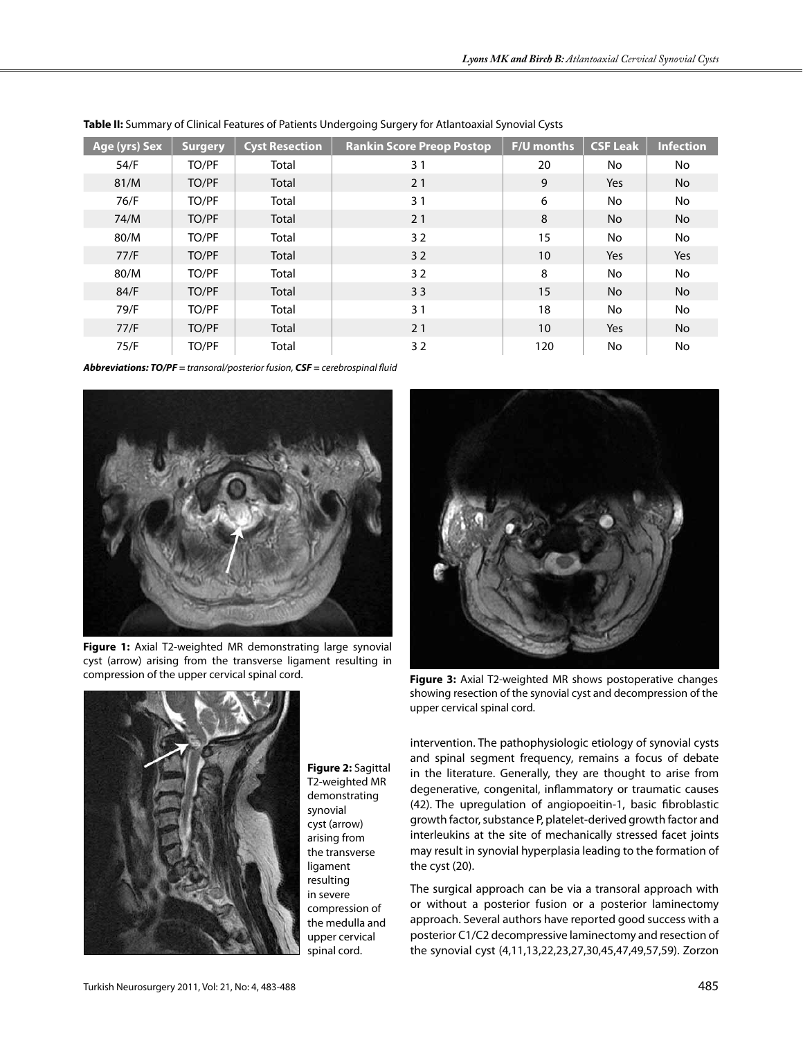| Age (yrs) Sex | <b>Surgery</b> | <b>Cyst Resection</b> | <b>Rankin Score Preop Postop</b> | F/U months       | <b>CSF Leak</b> | <b>Infection</b> |
|---------------|----------------|-----------------------|----------------------------------|------------------|-----------------|------------------|
| 54/F          | TO/PF          | Total                 | 31                               | 20               | No.             | No               |
| 81/M          | TO/PF          | Total                 | 21                               | 9                | Yes             | <b>No</b>        |
| 76/F          | TO/PF          | Total                 | 31                               | 6                | No.             | No               |
| 74/M          | TO/PF          | Total                 | 21                               | 8                | <b>No</b>       | <b>No</b>        |
| 80/M          | TO/PF          | Total                 | 32                               | 15               | No.             | No               |
| 77/F          | TO/PF          | Total                 | 32                               | 10 <sup>10</sup> | Yes             | Yes              |
| 80/M          | TO/PF          | Total                 | 32                               | 8                | No.             | <b>No</b>        |
| 84/F          | TO/PF          | Total                 | 33                               | 15               | No.             | <b>No</b>        |
| 79/F          | TO/PF          | Total                 | 31                               | 18               | No.             | No               |
| 77/F          | TO/PF          | Total                 | 21                               | 10 <sup>°</sup>  | Yes             | <b>No</b>        |
| 75/F          | TO/PF          | Total                 | 32                               | 120              | No.             | No               |

| Table II: Summary of Clinical Features of Patients Undergoing Surgery for Atlantoaxial Synovial Cysts |  |  |
|-------------------------------------------------------------------------------------------------------|--|--|
|                                                                                                       |  |  |

*Abbreviations: TO/PF = transoral/posterior fusion, CSF = cerebrospinal fluid*



**Figure 1:** Axial T2-weighted MR demonstrating large synovial cyst (arrow) arising from the transverse ligament resulting in compression of the upper cervical spinal cord. **Figure 3:** Axial T2-weighted MR shows postoperative changes



**Figure 2:** Sagittal T2-weighted MR demonstrating synovial cyst (arrow) arising from the transverse ligament resulting in severe compression of the medulla and upper cervical spinal cord.



showing resection of the synovial cyst and decompression of the upper cervical spinal cord.

intervention. The pathophysiologic etiology of synovial cysts and spinal segment frequency, remains a focus of debate in the literature. Generally, they are thought to arise from degenerative, congenital, inflammatory or traumatic causes (42). The upregulation of angiopoeitin-1, basic fibroblastic growth factor, substance P, platelet-derived growth factor and interleukins at the site of mechanically stressed facet joints may result in synovial hyperplasia leading to the formation of the cyst (20).

The surgical approach can be via a transoral approach with or without a posterior fusion or a posterior laminectomy approach. Several authors have reported good success with a posterior C1/C2 decompressive laminectomy and resection of the synovial cyst (4,11,13,22,23,27,30,45,47,49,57,59). Zorzon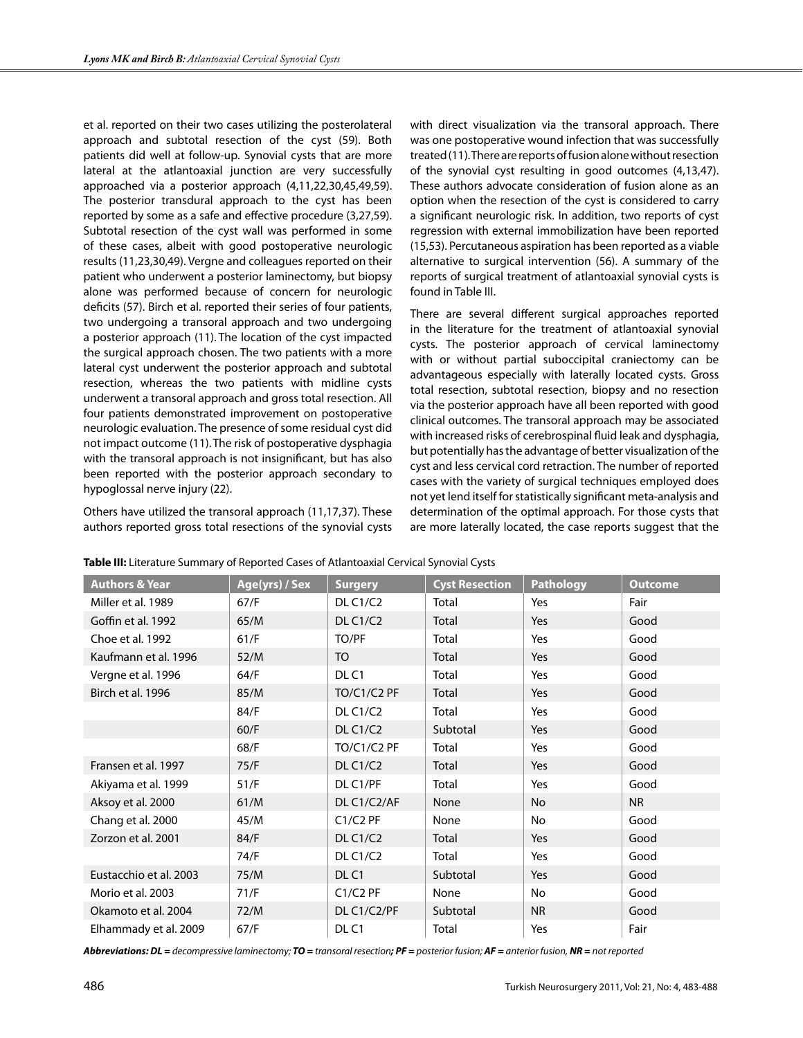et al. reported on their two cases utilizing the posterolateral approach and subtotal resection of the cyst (59). Both patients did well at follow-up. Synovial cysts that are more lateral at the atlantoaxial junction are very successfully approached via a posterior approach (4,11,22,30,45,49,59). The posterior transdural approach to the cyst has been reported by some as a safe and effective procedure (3,27,59). Subtotal resection of the cyst wall was performed in some of these cases, albeit with good postoperative neurologic results (11,23,30,49). Vergne and colleagues reported on their patient who underwent a posterior laminectomy, but biopsy alone was performed because of concern for neurologic deficits (57). Birch et al. reported their series of four patients, two undergoing a transoral approach and two undergoing a posterior approach (11). The location of the cyst impacted the surgical approach chosen. The two patients with a more lateral cyst underwent the posterior approach and subtotal resection, whereas the two patients with midline cysts underwent a transoral approach and gross total resection. All four patients demonstrated improvement on postoperative neurologic evaluation. The presence of some residual cyst did not impact outcome (11).The risk of postoperative dysphagia with the transoral approach is not insignificant, but has also been reported with the posterior approach secondary to hypoglossal nerve injury (22).

Others have utilized the transoral approach (11,17,37). These authors reported gross total resections of the synovial cysts

with direct visualization via the transoral approach. There was one postoperative wound infection that was successfully treated (11).There are reports of fusion alone without resection of the synovial cyst resulting in good outcomes (4,13,47). These authors advocate consideration of fusion alone as an option when the resection of the cyst is considered to carry a significant neurologic risk. In addition, two reports of cyst regression with external immobilization have been reported (15,53). Percutaneous aspiration has been reported as a viable alternative to surgical intervention (56). A summary of the reports of surgical treatment of atlantoaxial synovial cysts is found in Table III.

There are several different surgical approaches reported in the literature for the treatment of atlantoaxial synovial cysts. The posterior approach of cervical laminectomy with or without partial suboccipital craniectomy can be advantageous especially with laterally located cysts. Gross total resection, subtotal resection, biopsy and no resection via the posterior approach have all been reported with good clinical outcomes. The transoral approach may be associated with increased risks of cerebrospinal fluid leak and dysphagia, but potentially has the advantage of better visualization of the cyst and less cervical cord retraction. The number of reported cases with the variety of surgical techniques employed does not yet lend itself for statistically significant meta-analysis and determination of the optimal approach. For those cysts that are more laterally located, the case reports suggest that the

| <b>Authors &amp; Year</b> | Age(yrs) / Sex | <b>Surgery</b>   | <b>Cyst Resection</b> | <b>Pathology</b> | <b>Outcome</b> |
|---------------------------|----------------|------------------|-----------------------|------------------|----------------|
| Miller et al. 1989        | 67/F           | <b>DL C1/C2</b>  | Total                 | Yes              | Fair           |
| Goffin et al. 1992        | 65/M           | <b>DL C1/C2</b>  | Total                 | Yes              | Good           |
| Choe et al. 1992          | 61/F           | TO/PF            | Total                 | Yes              | Good           |
| Kaufmann et al. 1996      | 52/M           | TO               | Total                 | Yes              | Good           |
| Vergne et al. 1996        | 64/F           | DL <sub>C1</sub> | Total                 | Yes              | Good           |
| Birch et al. 1996         | 85/M           | TO/C1/C2 PF      | Total                 | Yes              | Good           |
|                           | 84/F           | <b>DL C1/C2</b>  | Total                 | Yes              | Good           |
|                           | 60/F           | DL C1/C2         | Subtotal              | Yes              | Good           |
|                           | 68/F           | TO/C1/C2 PF      | Total                 | Yes              | Good           |
| Fransen et al. 1997       | 75/F           | DL C1/C2         | Total                 | Yes              | Good           |
| Akiyama et al. 1999       | 51/F           | DL C1/PF         | Total                 | Yes              | Good           |
| Aksoy et al. 2000         | 61/M           | DL C1/C2/AF      | None                  | <b>No</b>        | <b>NR</b>      |
| Chang et al. 2000         | 45/M           | $C1/C2$ PF       | None                  | No               | Good           |
| Zorzon et al. 2001        | 84/F           | <b>DL C1/C2</b>  | <b>Total</b>          | Yes              | Good           |
|                           | 74/F           | <b>DL C1/C2</b>  | Total                 | Yes              | Good           |
| Eustacchio et al. 2003    | 75/M           | DLC <sub>1</sub> | Subtotal              | Yes              | Good           |
| Morio et al. 2003         | 71/F           | $C1/C2$ PF       | None                  | <b>No</b>        | Good           |
| Okamoto et al. 2004       | 72/M           | DL C1/C2/PF      | Subtotal              | <b>NR</b>        | Good           |
| Elhammady et al. 2009     | 67/F           | DLC <sub>1</sub> | Total                 | Yes              | Fair           |

|  | Table III: Literature Summary of Reported Cases of Atlantoaxial Cervical Synovial Cysts |
|--|-----------------------------------------------------------------------------------------|
|--|-----------------------------------------------------------------------------------------|

*Abbreviations: DL = decompressive laminectomy; TO = transoral resection; PF = posterior fusion; AF = anterior fusion, NR = not reported*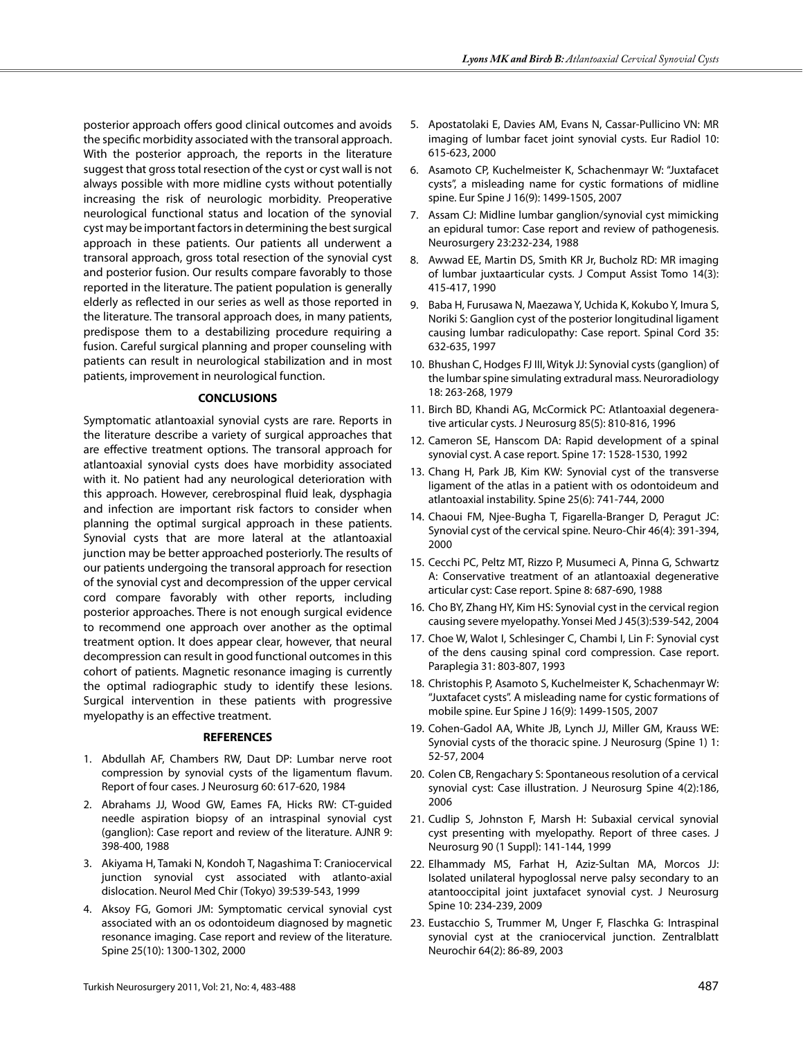posterior approach offers good clinical outcomes and avoids the specific morbidity associated with the transoral approach. With the posterior approach, the reports in the literature suggest that gross total resection of the cyst or cyst wall is not always possible with more midline cysts without potentially increasing the risk of neurologic morbidity. Preoperative neurological functional status and location of the synovial cyst may be important factors in determining the best surgical approach in these patients. Our patients all underwent a transoral approach, gross total resection of the synovial cyst and posterior fusion. Our results compare favorably to those reported in the literature. The patient population is generally elderly as reflected in our series as well as those reported in the literature. The transoral approach does, in many patients, predispose them to a destabilizing procedure requiring a fusion. Careful surgical planning and proper counseling with patients can result in neurological stabilization and in most patients, improvement in neurological function.

#### **CONCLUSIONS**

Symptomatic atlantoaxial synovial cysts are rare. Reports in the literature describe a variety of surgical approaches that are effective treatment options. The transoral approach for atlantoaxial synovial cysts does have morbidity associated with it. No patient had any neurological deterioration with this approach. However, cerebrospinal fluid leak, dysphagia and infection are important risk factors to consider when planning the optimal surgical approach in these patients. Synovial cysts that are more lateral at the atlantoaxial junction may be better approached posteriorly. The results of our patients undergoing the transoral approach for resection of the synovial cyst and decompression of the upper cervical cord compare favorably with other reports, including posterior approaches. There is not enough surgical evidence to recommend one approach over another as the optimal treatment option. It does appear clear, however, that neural decompression can result in good functional outcomes in this cohort of patients. Magnetic resonance imaging is currently the optimal radiographic study to identify these lesions. Surgical intervention in these patients with progressive myelopathy is an effective treatment.

#### **REFERENCES**

- 1. Abdullah AF, Chambers RW, Daut DP: Lumbar nerve root compression by synovial cysts of the ligamentum flavum. Report of four cases. J Neurosurg 60: 617-620, 1984
- 2. Abrahams JJ, Wood GW, Eames FA, Hicks RW: CT-guided needle aspiration biopsy of an intraspinal synovial cyst (ganglion): Case report and review of the literature. AJNR 9: 398-400, 1988
- 3. Akiyama H, Tamaki N, Kondoh T, Nagashima T: Craniocervical junction synovial cyst associated with atlanto-axial dislocation. Neurol Med Chir (Tokyo) 39:539-543, 1999
- 4. Aksoy FG, Gomori JM: Symptomatic cervical synovial cyst associated with an os odontoideum diagnosed by magnetic resonance imaging. Case report and review of the literature. Spine 25(10): 1300-1302, 2000
- 5. Apostatolaki E, Davies AM, Evans N, Cassar-Pullicino VN: MR imaging of lumbar facet joint synovial cysts. Eur Radiol 10: 615-623, 2000
- 6. Asamoto CP, Kuchelmeister K, Schachenmayr W: "Juxtafacet cysts", a misleading name for cystic formations of midline spine. Eur Spine J 16(9): 1499-1505, 2007
- 7. Assam CJ: Midline lumbar ganglion/synovial cyst mimicking an epidural tumor: Case report and review of pathogenesis. Neurosurgery 23:232-234, 1988
- 8. Awwad EE, Martin DS, Smith KR Jr, Bucholz RD: MR imaging of lumbar juxtaarticular cysts. J Comput Assist Tomo 14(3): 415-417, 1990
- 9. Baba H, Furusawa N, Maezawa Y, Uchida K, Kokubo Y, Imura S, Noriki S: Ganglion cyst of the posterior longitudinal ligament causing lumbar radiculopathy: Case report. Spinal Cord 35: 632-635, 1997
- 10. Bhushan C, Hodges FJ III, Wityk JJ: Synovial cysts (ganglion) of the lumbar spine simulating extradural mass. Neuroradiology 18: 263-268, 1979
- 11. Birch BD, Khandi AG, McCormick PC: Atlantoaxial degenerative articular cysts. J Neurosurg 85(5): 810-816, 1996
- 12. Cameron SE, Hanscom DA: Rapid development of a spinal synovial cyst. A case report. Spine 17: 1528-1530, 1992
- 13. Chang H, Park JB, Kim KW: Synovial cyst of the transverse ligament of the atlas in a patient with os odontoideum and atlantoaxial instability. Spine 25(6): 741-744, 2000
- 14. Chaoui FM, Njee-Bugha T, Figarella-Branger D, Peragut JC: Synovial cyst of the cervical spine. Neuro-Chir 46(4): 391-394, 2000
- 15. Cecchi PC, Peltz MT, Rizzo P, Musumeci A, Pinna G, Schwartz A: Conservative treatment of an atlantoaxial degenerative articular cyst: Case report. Spine 8: 687-690, 1988
- 16. Cho BY, Zhang HY, Kim HS: Synovial cyst in the cervical region causing severe myelopathy. Yonsei Med J 45(3):539-542, 2004
- 17. Choe W, Walot I, Schlesinger C, Chambi I, Lin F: Synovial cyst of the dens causing spinal cord compression. Case report. Paraplegia 31: 803-807, 1993
- 18. Christophis P, Asamoto S, Kuchelmeister K, Schachenmayr W: "Juxtafacet cysts". A misleading name for cystic formations of mobile spine. Eur Spine J 16(9): 1499-1505, 2007
- 19. Cohen-Gadol AA, White JB, Lynch JJ, Miller GM, Krauss WE: Synovial cysts of the thoracic spine. J Neurosurg (Spine 1) 1: 52-57, 2004
- 20. Colen CB, Rengachary S: Spontaneous resolution of a cervical synovial cyst: Case illustration. J Neurosurg Spine 4(2):186, 2006
- 21. Cudlip S, Johnston F, Marsh H: Subaxial cervical synovial cyst presenting with myelopathy. Report of three cases. J Neurosurg 90 (1 Suppl): 141-144, 1999
- 22. Elhammady MS, Farhat H, Aziz-Sultan MA, Morcos JJ: Isolated unilateral hypoglossal nerve palsy secondary to an atantooccipital joint juxtafacet synovial cyst. J Neurosurg Spine 10: 234-239, 2009
- 23. Eustacchio S, Trummer M, Unger F, Flaschka G: Intraspinal synovial cyst at the craniocervical junction. Zentralblatt Neurochir 64(2): 86-89, 2003